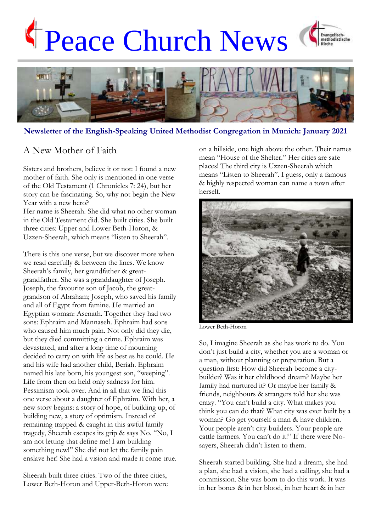# Peace Church News





**Newsletter of the English-Speaking United Methodist Congregation in Munich: January 2021**

## A New Mother of Faith

Sisters and brothers, believe it or not: I found a new mother of faith. She only is mentioned in one verse of the Old Testament (1 Chronicles 7: 24), but her story can be fascinating. So, why not begin the New Year with a new hero?

Her name is Sheerah. She did what no other woman in the Old Testament did. She built cities. She built three cities: Upper and Lower Beth-Horon, & Uzzen-Sheerah, which means "listen to Sheerah".

There is this one verse, but we discover more when we read carefully & between the lines. We know Sheerah's family, her grandfather & greatgrandfather. She was a granddaughter of Joseph. Joseph, the favourite son of Jacob, the greatgrandson of Abraham; Joseph, who saved his family and all of Egypt from famine. He married an Egyptian woman: Asenath. Together they had two sons: Ephraim and Mannaseh. Ephraim had sons who caused him much pain. Not only did they die, but they died committing a crime. Ephraim was devastated, and after a long time of mourning decided to carry on with life as best as he could. He and his wife had another child, Beriah. Ephraim named his late born, his youngest son, "weeping". Life from then on held only sadness for him. Pessimism took over. And in all that we find this one verse about a daughter of Ephraim. With her, a new story begins: a story of hope, of building up, of building new, a story of optimism. Instead of remaining trapped & caught in this awful family tragedy, Sheerah escapes its grip & says No. "No, I am not letting that define me! I am building something new!" She did not let the family pain enslave her! She had a vision and made it come true.

Sheerah built three cities. Two of the three cities, Lower Beth-Horon and Upper-Beth-Horon were on a hillside, one high above the other. Their names mean "House of the Shelter." Her cities are safe places! The third city is Uzzen-Sheerah which means "Listen to Sheerah". I guess, only a famous & highly respected woman can name a town after herself.



Lower Beth-Horon

So, I imagine Sheerah as she has work to do. You don't just build a city, whether you are a woman or a man, without planning or preparation. But a question first: How did Sheerah become a citybuilder? Was it her childhood dream? Maybe her family had nurtured it? Or maybe her family & friends, neighbours & strangers told her she was crazy. "You can't build a city. What makes you think you can do that? What city was ever built by a woman? Go get yourself a man & have children. Your people aren't city-builders. Your people are cattle farmers. You can't do it!" If there were Nosayers, Sheerah didn't listen to them.

Sheerah started building. She had a dream, she had a plan, she had a vision, she had a calling, she had a commission. She was born to do this work. It was in her bones & in her blood, in her heart & in her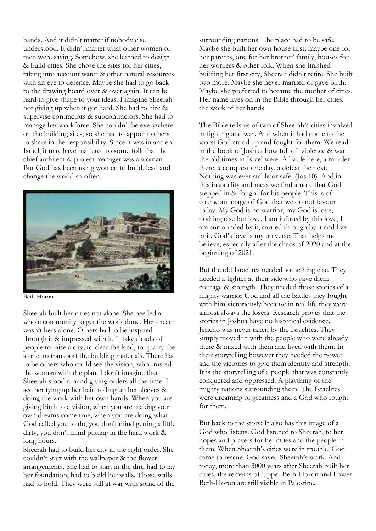hands. And it didn't matter if nobody else understood. It didn't matter what other women or men were saying. Somehow, she learned to design & build cities. She chose the sites for her cities, taking into account water & other natural resources with an eye to defence. Maybe she had to go back to the drawing board over & over again. It can be hard to give shape to your ideas. I imagine Sheerah not giving up when it got hard. She had to hire & supervise contractors & subcontractors. She had to manage her workforce. She couldn't be everywhere on the building sites, so she had to appoint others to share in the responsibility. Since it was in ancient Israel, it may have mattered to some folk that the chief architect & project manager was a woman. But God has been using women to build, lead and change the world so often.



Beth-Horon

Sheerah built her cities not alone. She needed a whole community to get the work done. Her dream wasn't hers alone. Others had to be inspired through it & impressed with it. It takes loads of people to raise a city, to clear the land, to quarry the stone, to transport the building materials. There had to be others who could see the vision, who trusted the woman with the plan. I don't imagine that Sheerah stood around giving orders all the time. I see her tying up her hair, rolling up her sleeves & doing the work with her own hands. When you are giving birth to a vision, when you are making your own dreams come true, when you are doing what God called you to do, you don't mind getting a little dirty, you don't mind putting in the hard work & long hours.

Sheerah had to build her city in the right order. She couldn't start with the wallpaper & the flower arrangements. She had to start in the dirt, had to lay her foundation, had to build her walls. Those walls had to hold. They were still at war with some of the

surrounding nations. The place had to be safe. Maybe she built her own house first; maybe one for her parents, one for her brother' family, houses for her workers & other folk. When she finished building her first city, Sheerah didn't retire. She built two more. Maybe she never married or gave birth. Maybe she preferred to became the mother of cities. Her name lives on in the Bible through her cities, the work of her hands.

The Bible tells us of two of Sheerah's cities involved in fighting and war. And when it had come to the worst God stood up and fought for them. We read in the book of Joshua how full of violence & war the old times in Israel were. A battle here, a murder there, a conquest one day, a defeat the next. Nothing was ever stable or safe. (Jos 10). And in this instability and mess we find a note that God stepped in & fought for his people. This is of course an image of God that we do not favour today. My God is no warrior, my God is love, nothing else but love. I am infused by this love, I am surrounded by it, carried through by it and live in it. God's love is my universe. That helps me believe, especially after the chaos of 2020 and at the beginning of 2021.

But the old Israelites needed something else. They needed a fighter at their side who gave them courage & strength. They needed those stories of a mighty warrior God and all the battles they fought with him victoriously because in real life they were almost always the losers. Research proves that the stories in Joshua have no historical evidence. Jericho was never taken by the Israelites. They simply moved in with the people who were already there & mixed with them and lived with them. In their storytelling however they needed the power and the victories to give them identity and strength. It is the storytelling of a people that was constantly conquered and oppressed. A plaything of the mighty nations surrounding them. The Israelites were dreaming of greatness and a God who fought for them.

But back to the story: It also has this image of a God who listens. God listened to Sheerah, to her hopes and prayers for her cities and the people in them. When Sheerah's cities were in trouble, God came to rescue. God saved Sheerah's work. And today, more than 3000 years after Sheerah built her cities, the remains of Upper Beth-Horon and Lower Beth-Horon are still visible in Palestine.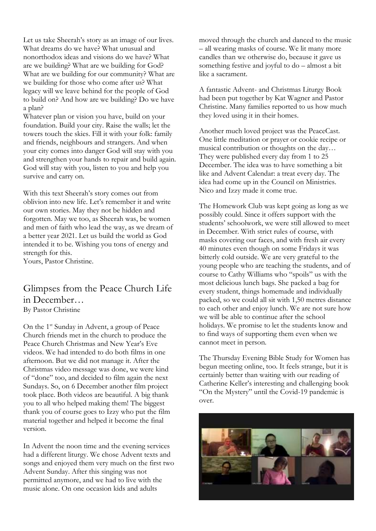Let us take Sheerah's story as an image of our lives. What dreams do we have? What unusual and nonorthodox ideas and visions do we have? What are we building? What are we building for God? What are we building for our community? What are we building for those who come after us? What legacy will we leave behind for the people of God to build on? And how are we building? Do we have a plan?

Whatever plan or vision you have, build on your foundation. Build your city. Raise the walls; let the towers touch the skies. Fill it with your folk: family and friends, neighbours and strangers. And when your city comes into danger God will stay with you and strengthen your hands to repair and build again. God will stay with you, listen to you and help you survive and carry on.

With this text Sheerah's story comes out from oblivion into new life. Let's remember it and write our own stories. May they not be hidden and forgotten. May we too, as Sheerah was, be women and men of faith who lead the way, as we dream of a better year 2021. Let us build the world as God intended it to be. Wishing you tons of energy and strength for this.

Yours, Pastor Christine.

## Glimpses from the Peace Church Life in December… By Pastor Christine

On the 1st Sunday in Advent, a group of Peace Church friends met in the church to produce the Peace Church Christmas and New Year's Eve videos. We had intended to do both films in one afternoon. But we did not manage it. After the Christmas video message was done, we were kind of "done" too, and decided to film again the next Sundays. So, on 6 December another film project took place. Both videos are beautiful. A big thank you to all who helped making them! The biggest thank you of course goes to Izzy who put the film material together and helped it become the final version.

In Advent the noon time and the evening services had a different liturgy. We chose Advent texts and songs and enjoyed them very much on the first two Advent Sunday. After this singing was not permitted anymore, and we had to live with the music alone. On one occasion kids and adults

moved through the church and danced to the music – all wearing masks of course. We lit many more candles than we otherwise do, because it gave us something festive and joyful to do – almost a bit like a sacrament.

A fantastic Advent- and Christmas Liturgy Book had been put together by Kat Wagner and Pastor Christine. Many families reported to us how much they loved using it in their homes.

Another much loved project was the PeaceCast. One little meditation or prayer or cookie recipe or musical contribution or thoughts on the day… They were published every day from 1 to 25 December. The idea was to have something a bit like and Advent Calendar: a treat every day. The idea had come up in the Council on Ministries. Nico and Izzy made it come true.

The Homework Club was kept going as long as we possibly could. Since it offers support with the students' schoolwork, we were still allowed to meet in December. With strict rules of course, with masks covering our faces, and with fresh air every 40 minutes even though on some Fridays it was bitterly cold outside. We are very grateful to the young people who are teaching the students, and of course to Cathy Williams who "spoils" us with the most delicious lunch bags. She packed a bag for every student, things homemade and individually packed, so we could all sit with 1,50 metres distance to each other and enjoy lunch. We are not sure how we will be able to continue after the school holidays. We promise to let the students know and to find ways of supporting them even when we cannot meet in person.

The Thursday Evening Bible Study for Women has begun meeting online, too. It feels strange, but it is certainly better than waiting with our reading of Catherine Keller's interesting and challenging book "On the Mystery" until the Covid-19 pandemic is over.

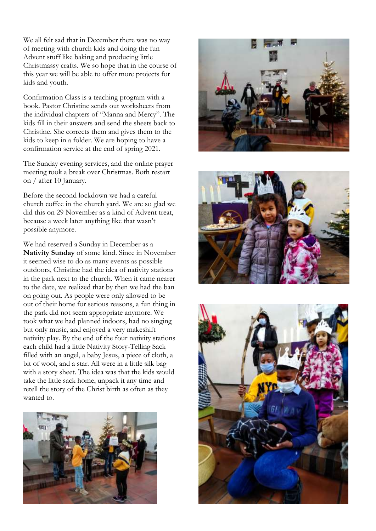We all felt sad that in December there was no way of meeting with church kids and doing the fun Advent stuff like baking and producing little Christmassy crafts. We so hope that in the course of this year we will be able to offer more projects for kids and youth.

Confirmation Class is a teaching program with a book. Pastor Christine sends out worksheets from the individual chapters of "Manna and Mercy". The kids fill in their answers and send the sheets back to Christine. She corrects them and gives them to the kids to keep in a folder. We are hoping to have a confirmation service at the end of spring 2021.

The Sunday evening services, and the online prayer meeting took a break over Christmas. Both restart on / after 10 January.

Before the second lockdown we had a careful church coffee in the church yard. We are so glad we did this on 29 November as a kind of Advent treat, because a week later anything like that wasn't possible anymore.

We had reserved a Sunday in December as a **Nativity Sunday** of some kind. Since in November it seemed wise to do as many events as possible outdoors, Christine had the idea of nativity stations in the park next to the church. When it came nearer to the date, we realized that by then we had the ban on going out. As people were only allowed to be out of their home for serious reasons, a fun thing in the park did not seem appropriate anymore. We took what we had planned indoors, had no singing but only music, and enjoyed a very makeshift nativity play. By the end of the four nativity stations each child had a little Nativity Story-Telling Sack filled with an angel, a baby Jesus, a piece of cloth, a bit of wool, and a star. All were in a little silk bag with a story sheet. The idea was that the kids would take the little sack home, unpack it any time and retell the story of the Christ birth as often as they wanted to.







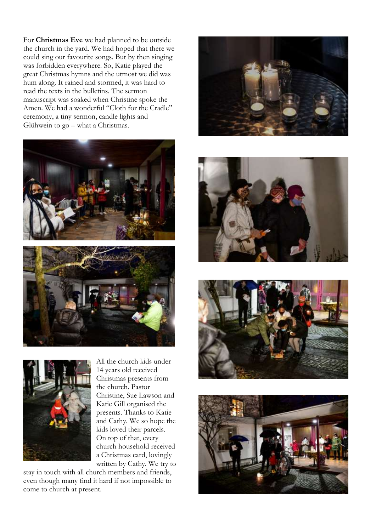For **Christmas Eve** we had planned to be outside the church in the yard. We had hoped that there we could sing our favourite songs. But by then singing was forbidden everywhere. So, Katie played the great Christmas hymns and the utmost we did was hum along. It rained and stormed, it was hard to read the texts in the bulletins. The sermon manuscript was soaked when Christine spoke the Amen. We had a wonderful "Cloth for the Cradle" ceremony, a tiny sermon, candle lights and Glühwein to go – what a Christmas.







All the church kids under 14 years old received Christmas presents from the church. Pastor Christine, Sue Lawson and Katie Gill organised the presents. Thanks to Katie and Cathy. We so hope the kids loved their parcels. On top of that, every church household received a Christmas card, lovingly written by Cathy. We try to

stay in touch with all church members and friends, even though many find it hard if not impossible to come to church at present.







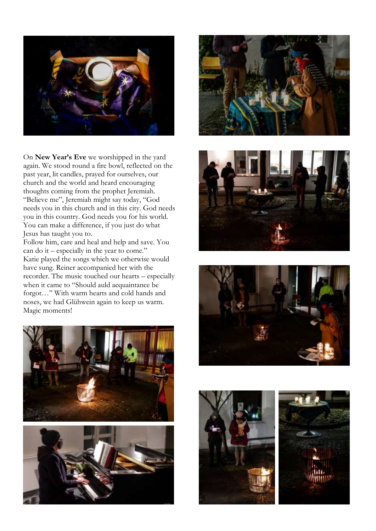

On **New Year's Eve** we worshipped in the yard again. We stood round a fire bowl, reflected on the past year, lit candles, prayed for ourselves, our church and the world and heard encouraging thoughts coming from the prophet Jeremiah. "Believe me", Jeremiah might say today, "God needs you in this church and in this city. God needs you in this country. God needs you for his world. You can make a difference, if you just do what Jesus has taught you to.

Follow him, care and heal and help and save. You can do it – especially in the year to come." Katie played the songs which we otherwise would have sung. Reiner accompanied her with the recorder. The music touched our hearts – especially when it came to "Should auld acquaintance be forgot…" With warm hearts and cold hands and noses, we had Glühwein again to keep us warm. Magic moments!













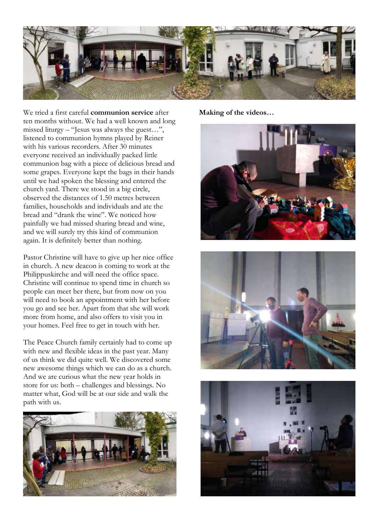

We tried a first careful **communion service** after ten months without. We had a well known and long missed liturgy – "Jesus was always the guest…", listened to communion hymns played by Reiner with his various recorders. After 30 minutes everyone received an individually packed little communion bag with a piece of delicious bread and some grapes. Everyone kept the bags in their hands until we had spoken the blessing and entered the church yard. There we stood in a big circle, observed the distances of 1.50 metres between families, households and individuals and ate the bread and "drank the wine". We noticed how painfully we had missed sharing bread and wine, and we will surely try this kind of communion again. It is definitely better than nothing.

Pastor Christine will have to give up her nice office in church. A new deacon is coming to work at the Philippuskirche and will need the office space. Christine will continue to spend time in church so people can meet her there, but from now on you will need to book an appointment with her before you go and see her. Apart from that she will work more from home, and also offers to visit you in your homes. Feel free to get in touch with her.

The Peace Church family certainly had to come up with new and flexible ideas in the past year. Many of us think we did quite well. We discovered some new awesome things which we can do as a church. And we are curious what the new year holds in store for us: both – challenges and blessings. No matter what, God will be at our side and walk the path with us.



**Making of the videos…**